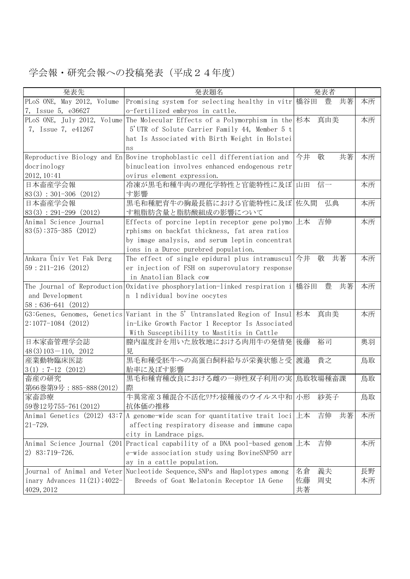## 学会報・研究会報への投稿発表(平成24年度)

| 発表先                             | 発表題名                                                                                              | 発表者           |    |
|---------------------------------|---------------------------------------------------------------------------------------------------|---------------|----|
| PLoS ONE, May 2012, Volume      | Promising system for selecting healthy in vitr 橋谷田                                                | 豊<br>共著       | 本所 |
| 7, Issue 5, e36627              | o-fertilized embryos in cattle.                                                                   |               |    |
|                                 | PLoS ONE, July 2012, Volume The Molecular Effects of a Polymorphism in the 杉本 真由美                 |               | 本所 |
| 7, Issue 7, e41267              | 5'UTR of Solute Carrier Family 44, Member 5 t                                                     |               |    |
|                                 | hat Is Associated with Birth Weight in Holstei                                                    |               |    |
|                                 | ns                                                                                                |               |    |
|                                 | Reproductive Biology and En Bovine trophoblastic cell differentiation and                         | 今井<br>敬<br>共著 | 本所 |
| docrinology                     | binucleation involves enhanced endogenous retr                                                    |               |    |
| 2012, 10:41                     | ovirus element expression.                                                                        |               |    |
| 日本畜産学会報                         | 冷凍が黒毛和種牛肉の理化学特性と官能特性に及ぼ 山田                                                                        | 信一            | 本所 |
| $83(3) : 301-306 (2012)$        | す影響                                                                                               |               |    |
| 日本畜産学会報                         | 黒毛和種肥育牛の胸最長筋における官能特性に及ぼ 佐久間                                                                       | 弘典            | 本所 |
| $83(3) : 291-299 (2012)$        | す粗脂肪含量と脂肪酸組成の影響について                                                                               |               |    |
| Animal Science Journal          | Effects of porcine leptin receptor gene polymo                                                    | 吉伸<br>上本      | 本所 |
| $83(5):375-385(2012)$           | rphisms on backfat thickness, fat area ratios                                                     |               |    |
|                                 | by image analysis, and serum leptin concentrat                                                    |               |    |
|                                 | ions in a Duroc purebred population.                                                              |               |    |
| Ankara Üniv Vet Fak Derg        | The effect of single epidural plus intramuscul $\left \stackrel{\rightarrow}{\rightarrow}\right $ | 敬<br>共著       | 本所 |
| $59:211-216$ (2012)             | er injection of FSH on superovulatory response                                                    |               |    |
|                                 | in Anatolian Black cow                                                                            |               |    |
|                                 | The Journal of Reproduction Oxidative phosphorylation-linked respiration i $ \text{R4H} \right.$  | 豊<br>共著       | 本所 |
| and Development                 | n l ndividual bovine oocytes                                                                      |               |    |
| $58:636-641(2012)$              |                                                                                                   |               |    |
|                                 | G3:Genes, Genomes, Genetics Variant in the 5' Untranslated Region of Insul 杉本                     | 真由美           | 本所 |
| $2:1077-1084$ (2012)            | in-Like Growth Factor 1 Receptor Is Associated                                                    |               |    |
|                                 | With Susceptibility to Mastitis in Cattle                                                         |               |    |
| 日本家畜管理学会誌                       | 膣内温度計を用いた放牧地における肉用牛の発情発 後藤                                                                        | 裕司            | 奥羽 |
| $48(3)103 - 110, 2012$          | 見                                                                                                 |               |    |
| 産業動物臨床医誌                        | 黒毛和種受胚牛への高蛋白飼料給与が栄養状態と受                                                                           | 貴之<br>渡邉      | 鳥取 |
| $3(1) : 7-12(2012)$             | 胎率に及ぼす影響                                                                                          |               |    |
| 畜産の研究                           | 黒毛和種育種改良における雌の一卵性双子利用の実 鳥取牧場種畜課                                                                   |               | 鳥取 |
| 第66巻第9号: 885-888 (2012)         | 際                                                                                                 |               |    |
| 家畜診療                            | 牛異常産3種混合不活化ワクチン接種後のウイルス中和 小形                                                                      | 紗英子           | 鳥取 |
| 59巻12号755-761 (2012)            | 抗体価の推移                                                                                            |               |    |
|                                 | Animal Genetics (2012) 43:7 A genome-wide scan for quantitative trait loci $\pm \pi$              | 共著<br>吉伸      | 本所 |
| $21 - 729.$                     | affecting respiratory disease and immune capa                                                     |               |    |
|                                 | city in Landrace pigs.                                                                            |               |    |
|                                 | Animal Science Journal (201 Practical capability of a DNA pool-based genom                        | 吉伸<br>上本      | 本所 |
| 2) 83:719-726.                  | e-wide association study using BovineSNP50 arr                                                    |               |    |
|                                 | ay in a cattle population.                                                                        |               |    |
|                                 | Journal of Animal and Veter Nucleotide Sequence, SNPs and Haplotypes among                        | 義夫<br>名倉      | 長野 |
| inary Advances $11(21)$ ; 4022- | Breeds of Goat Melatonin Receptor 1A Gene                                                         | 佐藤<br>周史      | 本所 |
| 4029, 2012                      |                                                                                                   | 共著            |    |